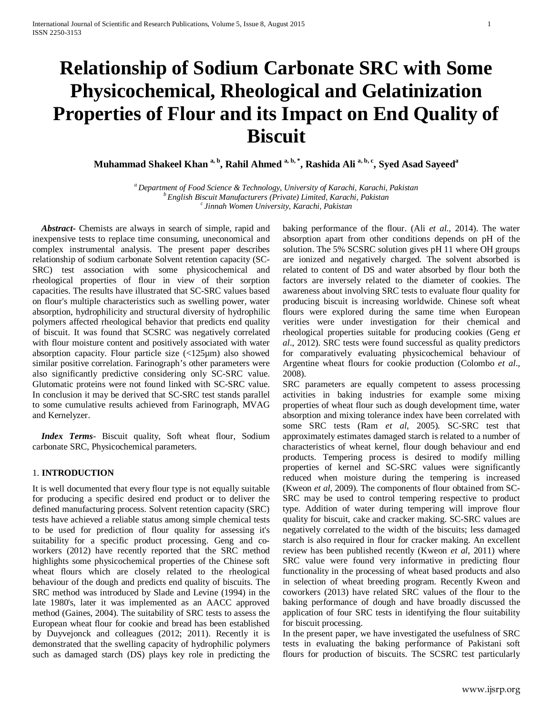# **Relationship of Sodium Carbonate SRC with Some Physicochemical, Rheological and Gelatinization Properties of Flour and its Impact on End Quality of Biscuit**

**Muhammad Shakeel Khan a, b, Rahil Ahmed a, b, \*, Rashida Ali a, b, c, Syed Asad Sayeeda**

*a Department of Food Science & Technology, University of Karachi, Karachi, Pakistan b English Biscuit Manufacturers (Private) Limited, Karachi, Pakistan c Jinnah Women University, Karachi, Pakistan*

 *Abstract***-** Chemists are always in search of simple, rapid and inexpensive tests to replace time consuming, uneconomical and complex instrumental analysis. The present paper describes relationship of sodium carbonate Solvent retention capacity (SC-SRC) test association with some physicochemical and rheological properties of flour in view of their sorption capacities. The results have illustrated that SC-SRC values based on flour's multiple characteristics such as swelling power, water absorption, hydrophilicity and structural diversity of hydrophilic polymers affected rheological behavior that predicts end quality of biscuit. It was found that SCSRC was negatively correlated with flour moisture content and positively associated with water absorption capacity. Flour particle size (<125µm) also showed similar positive correlation. Farinograph's other parameters were also significantly predictive considering only SC-SRC value. Glutomatic proteins were not found linked with SC-SRC value. In conclusion it may be derived that SC-SRC test stands parallel to some cumulative results achieved from Farinograph, MVAG and Kernelyzer.

 *Index Terms*- Biscuit quality, Soft wheat flour, Sodium carbonate SRC, Physicochemical parameters.

# 1. **INTRODUCTION**

It is well documented that every flour type is not equally suitable for producing a specific desired end product or to deliver the defined manufacturing process. Solvent retention capacity (SRC) tests have achieved a reliable status among simple chemical tests to be used for prediction of flour quality for assessing it's suitability for a specific product processing. Geng and coworkers (2012) have recently reported that the SRC method highlights some physicochemical properties of the Chinese soft wheat flours which are closely related to the rheological behaviour of the dough and predicts end quality of biscuits. The SRC method was introduced by Slade and Levine (1994) in the late 1980's, later it was implemented as an AACC approved method (Gaines, 2004). The suitability of SRC tests to assess the European wheat flour for cookie and bread has been established by Duyvejonck and colleagues (2012; 2011). Recently it is demonstrated that the swelling capacity of hydrophilic polymers such as damaged starch (DS) plays key role in predicting the baking performance of the flour. (Ali *et al.*, 2014). The water absorption apart from other conditions depends on pH of the solution. The 5% SCSRC solution gives pH 11 where OH groups are ionized and negatively charged. The solvent absorbed is related to content of DS and water absorbed by flour both the factors are inversely related to the diameter of cookies. The awareness about involving SRC tests to evaluate flour quality for producing biscuit is increasing worldwide. Chinese soft wheat flours were explored during the same time when European verities were under investigation for their chemical and rheological properties suitable for producing cookies (Geng *et al*., 2012). SRC tests were found successful as quality predictors for comparatively evaluating physicochemical behaviour of Argentine wheat flours for cookie production (Colombo *et al*., 2008).

SRC parameters are equally competent to assess processing activities in baking industries for example some mixing properties of wheat flour such as dough development time, water absorption and mixing tolerance index have been correlated with some SRC tests (Ram *et al*, 2005). SC-SRC test that approximately estimates damaged starch is related to a number of characteristics of wheat kernel, flour dough behaviour and end products. Tempering process is desired to modify milling properties of kernel and SC-SRC values were significantly reduced when moisture during the tempering is increased (Kweon *et al,* 2009). The components of flour obtained from SC-SRC may be used to control tempering respective to product type. Addition of water during tempering will improve flour quality for biscuit, cake and cracker making. SC-SRC values are negatively correlated to the width of the biscuits; less damaged starch is also required in flour for cracker making. An excellent review has been published recently (Kweon *et al*, 2011) where SRC value were found very informative in predicting flour functionality in the processing of wheat based products and also in selection of wheat breeding program. Recently Kweon and coworkers (2013) have related SRC values of the flour to the baking performance of dough and have broadly discussed the application of four SRC tests in identifying the flour suitability for biscuit processing.

In the present paper, we have investigated the usefulness of SRC tests in evaluating the baking performance of Pakistani soft flours for production of biscuits. The SCSRC test particularly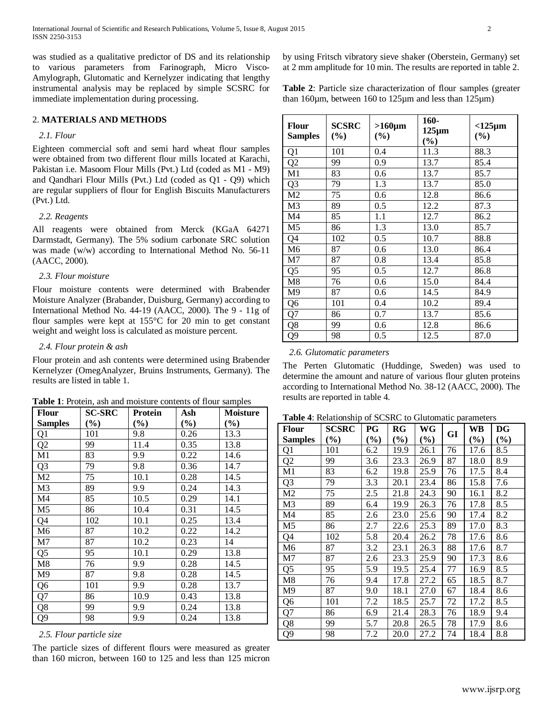was studied as a qualitative predictor of DS and its relationship to various parameters from Farinograph, Micro Visco-Amylograph, Glutomatic and Kernelyzer indicating that lengthy instrumental analysis may be replaced by simple SCSRC for immediate implementation during processing.

# 2. **MATERIALS AND METHODS**

# *2.1. Flour*

Eighteen commercial soft and semi hard wheat flour samples were obtained from two different flour mills located at Karachi, Pakistan i.e. Masoom Flour Mills (Pvt.) Ltd (coded as M1 - M9) and Qandhari Flour Mills (Pvt.) Ltd (coded as Q1 - Q9) which are regular suppliers of flour for English Biscuits Manufacturers (Pvt.) Ltd.

#### *2.2. Reagents*

All reagents were obtained from Merck (KGaA 64271 Darmstadt, Germany). The 5% sodium carbonate SRC solution was made (w/w) according to International Method No. 56-11 (AACC, 2000).

### *2.3. Flour moisture*

Flour moisture contents were determined with Brabender Moisture Analyzer (Brabander, Duisburg, Germany) according to International Method No. 44-19 (AACC, 2000). The 9 - 11g of flour samples were kept at 155°C for 20 min to get constant weight and weight loss is calculated as moisture percent.

# *2.4. Flour protein & ash*

Flour protein and ash contents were determined using Brabender Kernelyzer (OmegAnalyzer, Bruins Instruments, Germany). The results are listed in table 1.

**Table 1**: Protein, ash and moisture contents of flour samples

| <b>Flour</b>   | <b>SC-SRC</b> | Protein | Ash    | Moisture |
|----------------|---------------|---------|--------|----------|
| <b>Samples</b> | $(\%)$        | $(\%)$  | $(\%)$ | $(\%)$   |
| Q <sub>1</sub> | 101           | 9.8     | 0.26   | 13.3     |
| Q2             | 99            | 11.4    | 0.35   | 13.8     |
| M1             | 83            | 9.9     | 0.22   | 14.6     |
| Q <sub>3</sub> | 79            | 9.8     | 0.36   | 14.7     |
| M <sub>2</sub> | 75            | 10.1    | 0.28   | 14.5     |
| M <sub>3</sub> | 89            | 9.9     | 0.24   | 14.3     |
| M4             | 85            | 10.5    | 0.29   | 14.1     |
| M5             | 86            | 10.4    | 0.31   | 14.5     |
| Q4             | 102           | 10.1    | 0.25   | 13.4     |
| M <sub>6</sub> | 87            | 10.2    | 0.22   | 14.2     |
| M <sub>7</sub> | 87            | 10.2    | 0.23   | 14       |
| Q <sub>5</sub> | 95            | 10.1    | 0.29   | 13.8     |
| M8             | 76            | 9.9     | 0.28   | 14.5     |
| M9             | 87            | 9.8     | 0.28   | 14.5     |
| Q <sub>6</sub> | 101           | 9.9     | 0.28   | 13.7     |
| Q7             | 86            | 10.9    | 0.43   | 13.8     |
| Q8             | 99            | 9.9     | 0.24   | 13.8     |
| Q <sub>9</sub> | 98            | 9.9     | 0.24   | 13.8     |

# *2.5. Flour particle size*

The particle sizes of different flours were measured as greater than 160 micron, between 160 to 125 and less than 125 micron

by using Fritsch vibratory sieve shaker (Oberstein, Germany) set at 2 mm amplitude for 10 min. The results are reported in table 2.

**Table 2**: Particle size characterization of flour samples (greater than 160µm, between 160 to 125µm and less than 125µm)

| <b>Flour</b><br><b>Samples</b> | <b>SCSRC</b><br>$(\%)$ | $>160 \mu m$<br>(%) | 160-<br>$125 \mu m$<br>$(\%)$ | $<$ 125 $\mu$ m<br>(%) |
|--------------------------------|------------------------|---------------------|-------------------------------|------------------------|
| Q1                             | 101                    | 0.4                 | 11.3                          | 88.3                   |
| $\overline{Q2}$                | 99                     | 0.9                 | 13.7                          | 85.4                   |
| M1                             | 83                     | 0.6                 | 13.7                          | 85.7                   |
| Q <sub>3</sub>                 | 79                     | 1.3                 | 13.7                          | 85.0                   |
| M <sub>2</sub>                 | 75                     | 0.6                 | 12.8                          | 86.6                   |
| M <sub>3</sub>                 | 89                     | 0.5                 | 12.2                          | 87.3                   |
| M4                             | 85                     | 1.1                 | 12.7                          | 86.2                   |
| M <sub>5</sub>                 | 86                     | 1.3                 | 13.0                          | 85.7                   |
| Q4                             | 102                    | 0.5                 | 10.7                          | 88.8                   |
| M <sub>6</sub>                 | 87                     | 0.6                 | 13.0                          | 86.4                   |
| M7                             | 87                     | 0.8                 | 13.4                          | 85.8                   |
| Q <sub>5</sub>                 | 95                     | 0.5                 | 12.7                          | 86.8                   |
| M8                             | 76                     | 0.6                 | 15.0                          | 84.4                   |
| M9                             | 87                     | 0.6                 | 14.5                          | 84.9                   |
| Q6                             | 101                    | 0.4                 | 10.2                          | 89.4                   |
| Q7                             | 86                     | 0.7                 | 13.7                          | 85.6                   |
| Q8                             | 99                     | 0.6                 | 12.8                          | 86.6                   |
| Q9                             | 98                     | 0.5                 | 12.5                          | 87.0                   |

#### *2.6. Glutomatic parameters*

The Perten Glutomatic (Huddinge, Sweden) was used to determine the amount and nature of various flour gluten proteins according to International Method No. 38-12 (AACC, 2000). The results are reported in table 4.

|  | Table 4: Relationship of SCSRC to Glutomatic parameters |  |  |  |
|--|---------------------------------------------------------|--|--|--|
|--|---------------------------------------------------------|--|--|--|

| <b>Flour</b>   | $\ldots$<br><b>SCSRC</b> | PG     | RG     | WG     | GI | WB     | DG     |
|----------------|--------------------------|--------|--------|--------|----|--------|--------|
| <b>Samples</b> | $(\%)$                   | $(\%)$ | $(\%)$ | $(\%)$ |    | $(\%)$ | $(\%)$ |
| Q1             | 101                      | 6.2    | 19.9   | 26.1   | 76 | 17.6   | 8.5    |
| Q <sub>2</sub> | 99                       | 3.6    | 23.3   | 26.9   | 87 | 18.0   | 8.9    |
| M1             | 83                       | 6.2    | 19.8   | 25.9   | 76 | 17.5   | 8.4    |
| Q <sub>3</sub> | 79                       | 3.3    | 20.1   | 23.4   | 86 | 15.8   | 7.6    |
| M <sub>2</sub> | 75                       | 2.5    | 21.8   | 24.3   | 90 | 16.1   | 8.2    |
| M3             | 89                       | 6.4    | 19.9   | 26.3   | 76 | 17.8   | 8.5    |
| M <sub>4</sub> | 85                       | 2.6    | 23.0   | 25.6   | 90 | 17.4   | 8.2    |
| M5             | 86                       | 2.7    | 22.6   | 25.3   | 89 | 17.0   | 8.3    |
| Q4             | 102                      | 5.8    | 20.4   | 26.2   | 78 | 17.6   | 8.6    |
| M <sub>6</sub> | 87                       | 3.2    | 23.1   | 26.3   | 88 | 17.6   | 8.7    |
| M7             | 87                       | 2.6    | 23.3   | 25.9   | 90 | 17.3   | 8.6    |
| Q <sub>5</sub> | 95                       | 5.9    | 19.5   | 25.4   | 77 | 16.9   | 8.5    |
| M8             | 76                       | 9.4    | 17.8   | 27.2   | 65 | 18.5   | 8.7    |
| M9             | 87                       | 9.0    | 18.1   | 27.0   | 67 | 18.4   | 8.6    |
| Q <sub>6</sub> | 101                      | 7.2    | 18.5   | 25.7   | 72 | 17.2   | 8.5    |
| Q7             | 86                       | 6.9    | 21.4   | 28.3   | 76 | 18.9   | 9.4    |
| Q8             | 99                       | 5.7    | 20.8   | 26.5   | 78 | 17.9   | 8.6    |
| Q9             | 98                       | 7.2    | 20.0   | 27.2   | 74 | 18.4   | 8.8    |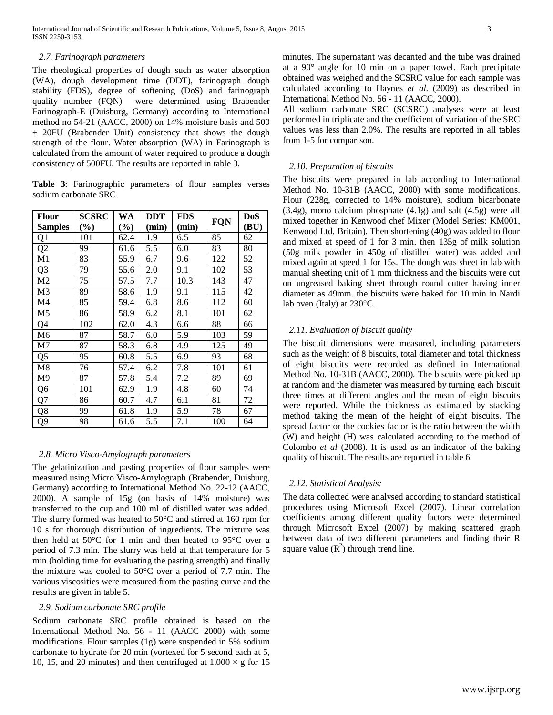The rheological properties of dough such as water absorption (WA), dough development time (DDT), farinograph dough stability (FDS), degree of softening (DoS) and farinograph quality number (FQN) were determined using Brabender Farinograph-E (Duisburg, Germany) according to International method no 54-21 (AACC, 2000) on 14% moisture basis and 500 ± 20FU (Brabender Unit) consistency that shows the dough strength of the flour. Water absorption (WA) in Farinograph is calculated from the amount of water required to produce a dough consistency of 500FU. The results are reported in table 3.

**Table 3**: Farinographic parameters of flour samples verses sodium carbonate SRC

| <b>Flour</b>   | SCSRC  | WA     | <b>DDT</b> | <b>FDS</b> |     | <b>DoS</b> |
|----------------|--------|--------|------------|------------|-----|------------|
| <b>Samples</b> | $(\%)$ | $(\%)$ | (min)      | (min)      | FQN | (BU)       |
| Q1             | 101    | 62.4   | 1.9        | 6.5        | 85  | 62         |
| Q <sub>2</sub> | 99     | 61.6   | 5.5        | 6.0        | 83  | 80         |
| M1             | 83     | 55.9   | 6.7        | 9.6        | 122 | 52         |
| Q <sub>3</sub> | 79     | 55.6   | 2.0        | 9.1        | 102 | 53         |
| M <sub>2</sub> | 75     | 57.5   | 7.7        | 10.3       | 143 | 47         |
| M <sub>3</sub> | 89     | 58.6   | 1.9        | 9.1        | 115 | 42         |
| M4             | 85     | 59.4   | 6.8        | 8.6        | 112 | 60         |
| M <sub>5</sub> | 86     | 58.9   | 6.2        | 8.1        | 101 | 62         |
| Q4             | 102    | 62.0   | 4.3        | 6.6        | 88  | 66         |
| M <sub>6</sub> | 87     | 58.7   | 6.0        | 5.9        | 103 | 59         |
| M7             | 87     | 58.3   | 6.8        | 4.9        | 125 | 49         |
| Q <sub>5</sub> | 95     | 60.8   | 5.5        | 6.9        | 93  | 68         |
| M8             | 76     | 57.4   | 6.2        | 7.8        | 101 | 61         |
| M9             | 87     | 57.8   | 5.4        | 7.2        | 89  | 69         |
| Q <sub>6</sub> | 101    | 62.9   | 1.9        | 4.8        | 60  | 74         |
| Q7             | 86     | 60.7   | 4.7        | 6.1        | 81  | 72         |
| Q8             | 99     | 61.8   | 1.9        | 5.9        | 78  | 67         |
| Q <sub>9</sub> | 98     | 61.6   | 5.5        | 7.1        | 100 | 64         |

#### *2.8. Micro Visco-Amylograph parameters*

The gelatinization and pasting properties of flour samples were measured using Micro Visco-Amylograph (Brabender, Duisburg, Germany) according to International Method No. 22-12 (AACC, 2000). A sample of 15g (on basis of 14% moisture) was transferred to the cup and 100 ml of distilled water was added. The slurry formed was heated to 50°C and stirred at 160 rpm for 10 s for thorough distribution of ingredients. The mixture was then held at 50°C for 1 min and then heated to 95°C over a period of 7.3 min. The slurry was held at that temperature for 5 min (holding time for evaluating the pasting strength) and finally the mixture was cooled to 50°C over a period of 7.7 min. The various viscosities were measured from the pasting curve and the results are given in table 5.

# *2.9. Sodium carbonate SRC profile*

Sodium carbonate SRC profile obtained is based on the International Method No. 56 - 11 (AACC 2000) with some modifications. Flour samples (1g) were suspended in 5% sodium carbonate to hydrate for 20 min (vortexed for 5 second each at 5, 10, 15, and 20 minutes) and then centrifuged at  $1,000 \times g$  for 15 minutes. The supernatant was decanted and the tube was drained at a 90° angle for 10 min on a paper towel. Each precipitate obtained was weighed and the SCSRC value for each sample was calculated according to Haynes *et al*. (2009) as described in International Method No. 56 - 11 (AACC, 2000).

All sodium carbonate SRC (SCSRC) analyses were at least performed in triplicate and the coefficient of variation of the SRC values was less than 2.0%. The results are reported in all tables from 1-5 for comparison.

# *2.10. Preparation of biscuits*

The biscuits were prepared in lab according to International Method No. 10-31B (AACC, 2000) with some modifications. Flour (228g, corrected to 14% moisture), sodium bicarbonate (3.4g), mono calcium phosphate (4.1g) and salt (4.5g) were all mixed together in Kenwood chef Mixer (Model Series: KM001, Kenwood Ltd, Britain). Then shortening (40g) was added to flour and mixed at speed of 1 for 3 min. then 135g of milk solution (50g milk powder in 450g of distilled water) was added and mixed again at speed 1 for 15s. The dough was sheet in lab with manual sheeting unit of 1 mm thickness and the biscuits were cut on ungreased baking sheet through round cutter having inner diameter as 49mm. the biscuits were baked for 10 min in Nardi lab oven (Italy) at 230°C.

# *2.11. Evaluation of biscuit quality*

The biscuit dimensions were measured, including parameters such as the weight of 8 biscuits, total diameter and total thickness of eight biscuits were recorded as defined in International Method No. 10-31B (AACC, 2000). The biscuits were picked up at random and the diameter was measured by turning each biscuit three times at different angles and the mean of eight biscuits were reported. While the thickness as estimated by stacking method taking the mean of the height of eight biscuits. The spread factor or the cookies factor is the ratio between the width (W) and height (H) was calculated according to the method of Colombo *et al* (2008). It is used as an indicator of the baking quality of biscuit. The results are reported in table 6.

# *2.12. Statistical Analysis:*

The data collected were analysed according to standard statistical procedures using Microsoft Excel (2007). Linear correlation coefficients among different quality factors were determined through Microsoft Excel (2007) by making scattered graph between data of two different parameters and finding their R square value  $(R^2)$  through trend line.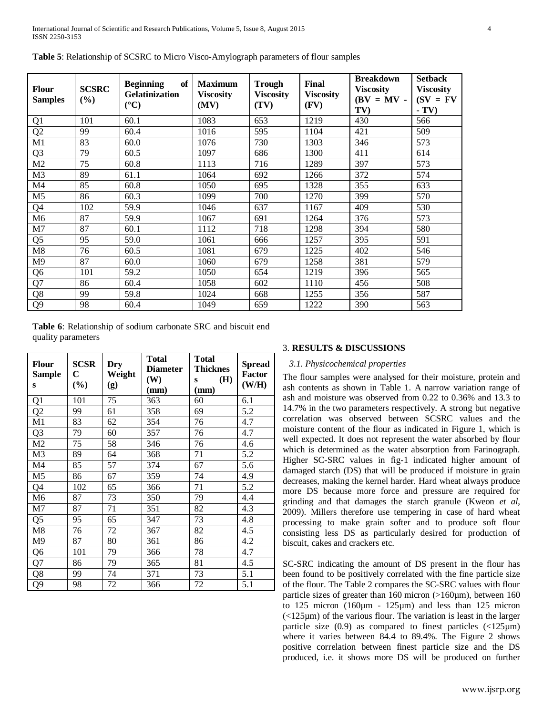| <b>Flour</b><br><b>Samples</b> | <b>SCSRC</b><br>(%) | <b>Beginning</b><br>of<br><b>Gelatinization</b><br>$({}^{\circ}C)$ | <b>Maximum</b><br><b>Viscosity</b><br>(MV) | <b>Trough</b><br><b>Viscosity</b><br>(TV) | Final<br><b>Viscosity</b><br>(FV) | <b>Breakdown</b><br><b>Viscosity</b><br>$(BV = MV -$<br>TV) | <b>Setback</b><br><b>Viscosity</b><br>$(SV = FV)$<br>$-TV$ |
|--------------------------------|---------------------|--------------------------------------------------------------------|--------------------------------------------|-------------------------------------------|-----------------------------------|-------------------------------------------------------------|------------------------------------------------------------|
| Q1                             | 101                 | 60.1                                                               | 1083                                       | 653                                       | 1219                              | 430                                                         | 566                                                        |
| Q <sub>2</sub>                 | 99                  | 60.4                                                               | 1016                                       | 595                                       | 1104                              | 421                                                         | 509                                                        |
| M1                             | 83                  | 60.0                                                               | 1076                                       | 730                                       | 1303                              | 346                                                         | 573                                                        |
| Q <sub>3</sub>                 | 79                  | 60.5                                                               | 1097                                       | 686                                       | 1300                              | 411                                                         | 614                                                        |
| M <sub>2</sub>                 | 75                  | 60.8                                                               | 1113                                       | 716                                       | 1289                              | 397                                                         | 573                                                        |
| M <sub>3</sub>                 | 89                  | 61.1                                                               | 1064                                       | 692                                       | 1266                              | 372                                                         | 574                                                        |
| M <sub>4</sub>                 | 85                  | 60.8                                                               | 1050                                       | 695                                       | 1328                              | 355                                                         | 633                                                        |
| M <sub>5</sub>                 | 86                  | 60.3                                                               | 1099                                       | 700                                       | 1270                              | 399                                                         | 570                                                        |
| Q4                             | 102                 | 59.9                                                               | 1046                                       | 637                                       | 1167                              | 409                                                         | 530                                                        |
| M6                             | 87                  | 59.9                                                               | 1067                                       | 691                                       | 1264                              | 376                                                         | 573                                                        |
| M <sub>7</sub>                 | 87                  | 60.1                                                               | 1112                                       | 718                                       | 1298                              | 394                                                         | 580                                                        |
| Q <sub>5</sub>                 | 95                  | 59.0                                                               | 1061                                       | 666                                       | 1257                              | 395                                                         | 591                                                        |
| M8                             | 76                  | 60.5                                                               | 1081                                       | 679                                       | 1225                              | 402                                                         | 546                                                        |
| M <sub>9</sub>                 | 87                  | 60.0                                                               | 1060                                       | 679                                       | 1258                              | 381                                                         | 579                                                        |
| Q <sub>6</sub>                 | 101                 | 59.2                                                               | 1050                                       | 654                                       | 1219                              | 396                                                         | 565                                                        |
| Q7                             | 86                  | 60.4                                                               | 1058                                       | 602                                       | 1110                              | 456                                                         | 508                                                        |
| Q8                             | 99                  | 59.8                                                               | 1024                                       | 668                                       | 1255                              | 356                                                         | 587                                                        |
| Q <sub>9</sub>                 | 98                  | 60.4                                                               | 1049                                       | 659                                       | 1222                              | 390                                                         | 563                                                        |

**Table 5**: Relationship of SCSRC to Micro Visco-Amylograph parameters of flour samples

**Table 6**: Relationship of sodium carbonate SRC and biscuit end quality parameters

| <b>Flour</b><br><b>Sample</b><br>S | <b>SCSR</b><br>C<br>(%) | Dry<br>Weight<br>$\left( \mathbf{g}\right)$ | <b>Total</b><br><b>Diameter</b><br>(W)<br>(mm) | <b>Total</b><br><b>Thicknes</b><br>(H)<br>S<br>(mm) | <b>Spread</b><br><b>Factor</b><br>(W/H) |
|------------------------------------|-------------------------|---------------------------------------------|------------------------------------------------|-----------------------------------------------------|-----------------------------------------|
| Q1                                 | 101                     | 75                                          | 363                                            | 60                                                  | 6.1                                     |
| Q <sub>2</sub>                     | 99                      | 61                                          | 358                                            | 69                                                  | 5.2                                     |
| M1                                 | 83                      | 62                                          | 354                                            | 76                                                  | 4.7                                     |
| Q <sub>3</sub>                     | 79                      | 60                                          | 357                                            | 76                                                  | 4.7                                     |
| M <sub>2</sub>                     | 75                      | 58                                          | 346                                            | 76                                                  | 4.6                                     |
| M <sub>3</sub>                     | 89                      | 64                                          | 368                                            | 71                                                  | 5.2                                     |
| M4                                 | 85                      | 57                                          | 374                                            | 67                                                  | 5.6                                     |
| M <sub>5</sub>                     | 86                      | 67                                          | 359                                            | 74                                                  | 4.9                                     |
| Q4                                 | 102                     | 65                                          | 366                                            | 71                                                  | 5.2                                     |
| M <sub>6</sub>                     | 87                      | 73                                          | 350                                            | 79                                                  | 4.4                                     |
| M7                                 | 87                      | 71                                          | 351                                            | 82                                                  | 4.3                                     |
| Q <sub>5</sub>                     | 95                      | 65                                          | 347                                            | 73                                                  | 4.8                                     |
| M8                                 | 76                      | 72                                          | 367                                            | 82                                                  | 4.5                                     |
| M9                                 | 87                      | 80                                          | 361                                            | 86                                                  | 4.2                                     |
| Q <sub>6</sub>                     | 101                     | 79                                          | 366                                            | 78                                                  | 4.7                                     |
| Q7                                 | 86                      | 79                                          | 365                                            | 81                                                  | 4.5                                     |
| Q8                                 | 99                      | 74                                          | 371                                            | 73                                                  | 5.1                                     |
| Q <sub>9</sub>                     | 98                      | 72                                          | 366                                            | 72                                                  | 5.1                                     |

#### 3. **RESULTS & DISCUSSIONS**

# *3.1. Physicochemical properties*

The flour samples were analysed for their moisture, protein and ash contents as shown in Table 1. A narrow variation range of ash and moisture was observed from 0.22 to 0.36% and 13.3 to 14.7% in the two parameters respectively. A strong but negative correlation was observed between SCSRC values and the moisture content of the flour as indicated in Figure 1, which is well expected. It does not represent the water absorbed by flour which is determined as the water absorption from Farinograph. Higher SC-SRC values in fig-1 indicated higher amount of damaged starch (DS) that will be produced if moisture in grain decreases, making the kernel harder. Hard wheat always produce more DS because more force and pressure are required for grinding and that damages the starch granule (Kweon *et al*, 2009). Millers therefore use tempering in case of hard wheat processing to make grain softer and to produce soft flour consisting less DS as particularly desired for production of biscuit, cakes and crackers etc.

SC-SRC indicating the amount of DS present in the flour has been found to be positively correlated with the fine particle size of the flour. The Table 2 compares the SC-SRC values with flour particle sizes of greater than 160 micron (>160µm), between 160 to 125 micron (160µm - 125µm) and less than 125 micron  $\left($ <125 $\mu$ m) of the various flour. The variation is least in the larger particle size  $(0.9)$  as compared to finest particles  $\langle$  <125 $\mu$ m) where it varies between 84.4 to 89.4%. The Figure 2 shows positive correlation between finest particle size and the DS produced, i.e. it shows more DS will be produced on further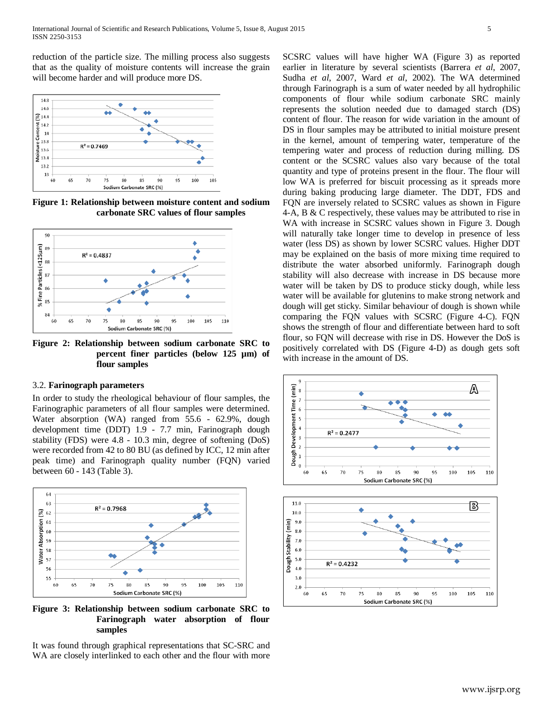reduction of the particle size. The milling process also suggests that as the quality of moisture contents will increase the grain will become harder and will produce more DS.



**Figure 1: Relationship between moisture content and sodium carbonate SRC values of flour samples**



**Figure 2: Relationship between sodium carbonate SRC to percent finer particles (below 125 µm) of flour samples**

#### 3.2. **Farinograph parameters**

In order to study the rheological behaviour of flour samples, the Farinographic parameters of all flour samples were determined. Water absorption (WA) ranged from 55.6 - 62.9%, dough development time (DDT) 1.9 - 7.7 min, Farinograph dough stability (FDS) were 4.8 - 10.3 min, degree of softening (DoS) were recorded from 42 to 80 BU (as defined by ICC, 12 min after peak time) and Farinograph quality number (FQN) varied between 60 - 143 (Table 3).



**Figure 3: Relationship between sodium carbonate SRC to Farinograph water absorption of flour samples**

It was found through graphical representations that SC-SRC and WA are closely interlinked to each other and the flour with more SCSRC values will have higher WA (Figure 3) as reported earlier in literature by several scientists (Barrera *et al*, 2007, Sudha *et al*, 2007, Ward *et al*, 2002). The WA determined through Farinograph is a sum of water needed by all hydrophilic components of flour while sodium carbonate SRC mainly represents the solution needed due to damaged starch (DS) content of flour. The reason for wide variation in the amount of DS in flour samples may be attributed to initial moisture present in the kernel, amount of tempering water, temperature of the tempering water and process of reduction during milling. DS content or the SCSRC values also vary because of the total quantity and type of proteins present in the flour. The flour will low WA is preferred for biscuit processing as it spreads more during baking producing large diameter. The DDT, FDS and FQN are inversely related to SCSRC values as shown in Figure 4-A, B & C respectively, these values may be attributed to rise in WA with increase in SCSRC values shown in Figure 3. Dough will naturally take longer time to develop in presence of less water (less DS) as shown by lower SCSRC values. Higher DDT may be explained on the basis of more mixing time required to distribute the water absorbed uniformly. Farinograph dough stability will also decrease with increase in DS because more water will be taken by DS to produce sticky dough, while less water will be available for glutenins to make strong network and dough will get sticky. Similar behaviour of dough is shown while comparing the FQN values with SCSRC (Figure 4-C). FQN shows the strength of flour and differentiate between hard to soft flour, so FQN will decrease with rise in DS. However the DoS is positively correlated with DS (Figure 4-D) as dough gets soft with increase in the amount of DS.

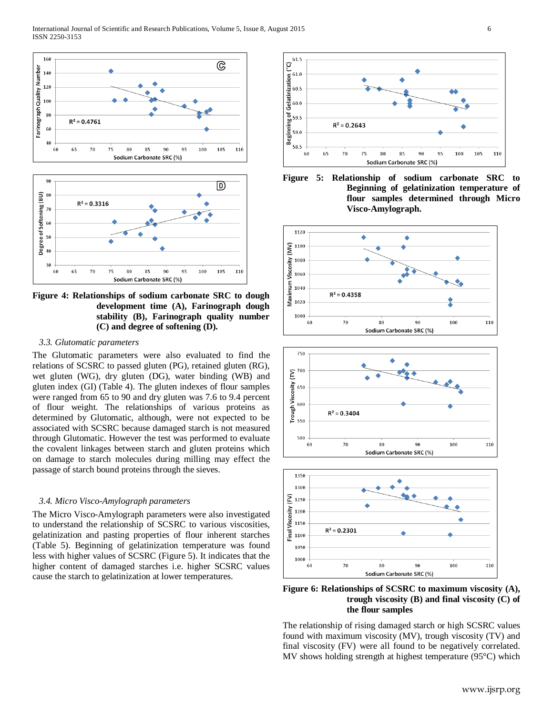



**Figure 4: Relationships of sodium carbonate SRC to dough development time (A), Farinograph dough stability (B), Farinograph quality number (C) and degree of softening (D).**

### *3.3. Glutomatic parameters*

The Glutomatic parameters were also evaluated to find the relations of SCSRC to passed gluten (PG), retained gluten (RG), wet gluten (WG), dry gluten (DG), water binding (WB) and gluten index (GI) (Table 4). The gluten indexes of flour samples were ranged from 65 to 90 and dry gluten was 7.6 to 9.4 percent of flour weight. The relationships of various proteins as determined by Glutomatic, although, were not expected to be associated with SCSRC because damaged starch is not measured through Glutomatic. However the test was performed to evaluate the covalent linkages between starch and gluten proteins which on damage to starch molecules during milling may effect the passage of starch bound proteins through the sieves.

#### *3.4. Micro Visco-Amylograph parameters*

The Micro Visco-Amylograph parameters were also investigated to understand the relationship of SCSRC to various viscosities, gelatinization and pasting properties of flour inherent starches (Table 5). Beginning of gelatinization temperature was found less with higher values of SCSRC (Figure 5). It indicates that the higher content of damaged starches i.e. higher SCSRC values cause the starch to gelatinization at lower temperatures.











**Figure 6: Relationships of SCSRC to maximum viscosity (A), trough viscosity (B) and final viscosity (C) of the flour samples**

The relationship of rising damaged starch or high SCSRC values found with maximum viscosity (MV), trough viscosity (TV) and final viscosity (FV) were all found to be negatively correlated. MV shows holding strength at highest temperature (95°C) which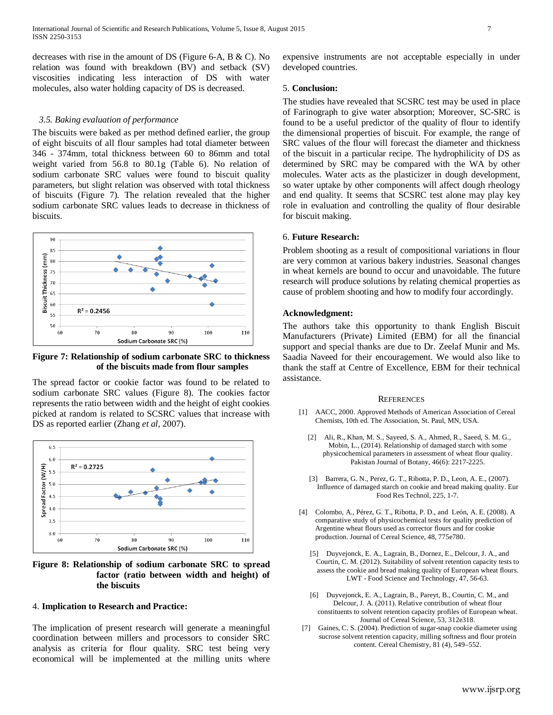decreases with rise in the amount of DS (Figure 6-A, B & C). No relation was found with breakdown (BV) and setback (SV) viscosities indicating less interaction of DS with water molecules, also water holding capacity of DS is decreased.

#### *3.5. Baking evaluation of performance*

The biscuits were baked as per method defined earlier, the group of eight biscuits of all flour samples had total diameter between 346 - 374mm, total thickness between 60 to 86mm and total weight varied from 56.8 to 80.1g (Table 6). No relation of sodium carbonate SRC values were found to biscuit quality parameters, but slight relation was observed with total thickness of biscuits (Figure 7). The relation revealed that the higher sodium carbonate SRC values leads to decrease in thickness of biscuits.



**Figure 7: Relationship of sodium carbonate SRC to thickness of the biscuits made from flour samples**

The spread factor or cookie factor was found to be related to sodium carbonate SRC values (Figure 8). The cookies factor represents the ratio between width and the height of eight cookies picked at random is related to SCSRC values that increase with DS as reported earlier (Zhang *et al*, 2007).



**Figure 8: Relationship of sodium carbonate SRC to spread factor (ratio between width and height) of the biscuits**

#### 4. **Implication to Research and Practice:**

The implication of present research will generate a meaningful coordination between millers and processors to consider SRC analysis as criteria for flour quality. SRC test being very economical will be implemented at the milling units where expensive instruments are not acceptable especially in under developed countries.

# 5. **Conclusion:**

The studies have revealed that SCSRC test may be used in place of Farinograph to give water absorption; Moreover, SC-SRC is found to be a useful predictor of the quality of flour to identify the dimensional properties of biscuit. For example, the range of SRC values of the flour will forecast the diameter and thickness of the biscuit in a particular recipe. The hydrophilicity of DS as determined by SRC may be compared with the WA by other molecules. Water acts as the plasticizer in dough development, so water uptake by other components will affect dough rheology and end quality. It seems that SCSRC test alone may play key role in evaluation and controlling the quality of flour desirable for biscuit making.

### 6. **Future Research:**

Problem shooting as a result of compositional variations in flour are very common at various bakery industries. Seasonal changes in wheat kernels are bound to occur and unavoidable. The future research will produce solutions by relating chemical properties as cause of problem shooting and how to modify four accordingly.

# **Acknowledgment:**

The authors take this opportunity to thank English Biscuit Manufacturers (Private) Limited (EBM) for all the financial support and special thanks are due to Dr. Zeelaf Munir and Ms. Saadia Naveed for their encouragement. We would also like to thank the staff at Centre of Excellence, EBM for their technical assistance.

#### **REFERENCES**

- [1] AACC, 2000. Approved Methods of American Association of Cereal Chemists, 10th ed. The Association, St. Paul, MN, USA.
	- [2] Ali, R., Khan, M. S., Sayeed, S. A., Ahmed, R., Saeed, S. M. G., Mobin, L., (2014). Relationship of damaged starch with some physicochemical parameters in assessment of wheat flour quality. Pakistan Journal of Botany, 46(6): 2217-2225.
	- [3] Barrera, G. N., Perez, G. T., Ribotta, P. D., Leon, A. E., (2007). Influence of damaged starch on cookie and bread making quality. Eur Food Res Technol, 225, 1-7.
- [4] Colombo, A., Pérez, G. T., Ribotta, P. D., and León, A. E. (2008). A comparative study of physicochemical tests for quality prediction of Argentine wheat flours used as corrector flours and for cookie production. Journal of Cereal Science, 48, 775e780.
	- [5] Duyvejonck, E. A., Lagrain, B., Dornez, E., Delcour, J. A., and Courtin, C. M. (2012). Suitability of solvent retention capacity tests to assess the cookie and bread making quality of European wheat flours. LWT - Food Science and Technology, 47, 56-63.
	- [6] Duyvejonck, E. A., Lagrain, B., Pareyt, B., Courtin, C. M., and Delcour, J. A. (2011). Relative contribution of wheat flour constituents to solvent retention capacity profiles of European wheat. Journal of Cereal Science, 53, 312e318.
- [7] Gaines, C. S. (2004). Prediction of sugar-snap cookie diameter using sucrose solvent retention capacity, milling softness and flour protein content. Cereal Chemistry, 81 (4), 549–552.